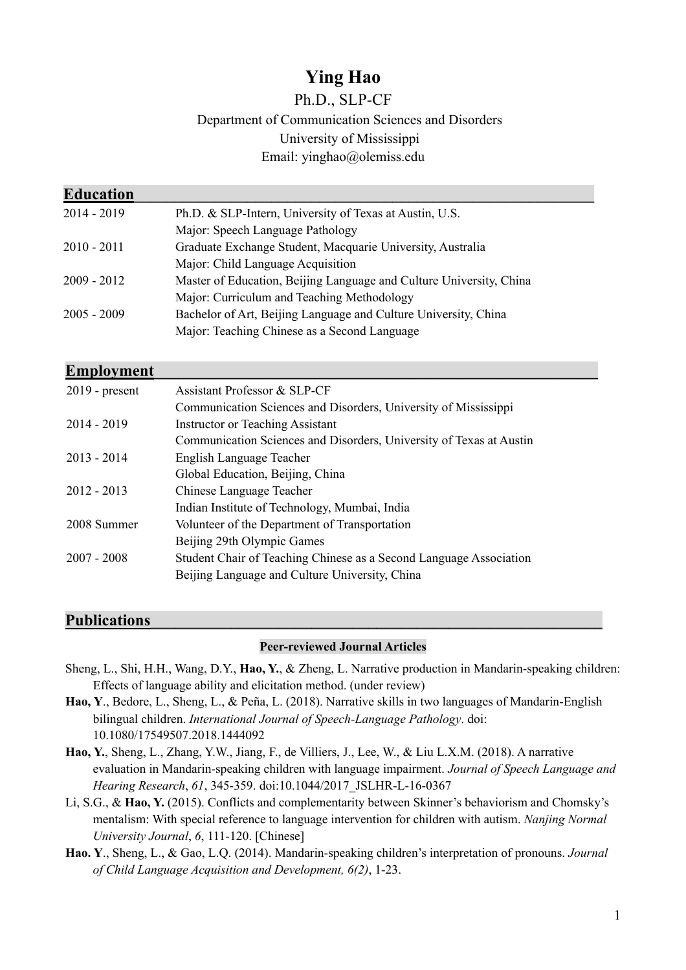# **Ying Hao**

## Ph.D., SLP-CF Department of Communication Sciences and Disorders University of Mississippi Email: yinghao@olemiss.edu

| <b>Education</b> |                                                                     |
|------------------|---------------------------------------------------------------------|
| $2014 - 2019$    | Ph.D. & SLP-Intern, University of Texas at Austin, U.S.             |
|                  | Major: Speech Language Pathology                                    |
| $2010 - 2011$    | Graduate Exchange Student, Macquarie University, Australia          |
|                  | Major: Child Language Acquisition                                   |
| $2009 - 2012$    | Master of Education, Beijing Language and Culture University, China |
|                  | Major: Curriculum and Teaching Methodology                          |
| $2005 - 2009$    | Bachelor of Art, Beijing Language and Culture University, China     |
|                  | Major: Teaching Chinese as a Second Language                        |
|                  |                                                                     |

## **Employment**

| $2019$ - present | Assistant Professor & SLP-CF                                        |
|------------------|---------------------------------------------------------------------|
|                  | Communication Sciences and Disorders, University of Mississippi     |
| $2014 - 2019$    | <b>Instructor or Teaching Assistant</b>                             |
|                  | Communication Sciences and Disorders, University of Texas at Austin |
| $2013 - 2014$    | English Language Teacher                                            |
|                  | Global Education, Beijing, China                                    |
| $2012 - 2013$    | Chinese Language Teacher                                            |
|                  | Indian Institute of Technology, Mumbai, India                       |
| 2008 Summer      | Volunteer of the Department of Transportation                       |
|                  | Beijing 29th Olympic Games                                          |
| $2007 - 2008$    | Student Chair of Teaching Chinese as a Second Language Association  |
|                  | Beijing Language and Culture University, China                      |

## Publications

### **Peer-reviewed Journal Articles**

- Sheng, L., Shi, H.H., Wang, D.Y., **Hao, Y.**, & Zheng, L. Narrative production in Mandarin-speaking children: Effects of language ability and elicitation method. (under review)
- **Hao, Y**., Bedore, L., Sheng, L., & Peña, L. (2018). Narrative skills in two languages of Mandarin-English bilingual children. *International Journal of Speech-Language Pathology*. doi: 10.1080/17549507.2018.1444092
- **Hao, Y.**, Sheng, L., Zhang, Y.W., Jiang, F., de Villiers, J., Lee, W., & Liu L.X.M. (2018). A narrative evaluation in Mandarin-speaking children with language impairment. *Journal of Speech Language and Hearing Research*, *61*, 345-359. doi:10.1044/2017\_JSLHR-L-16-0367
- Li, S.G., & **Hao, Y.** (2015). Conflicts and complementarity between Skinner's behaviorism and Chomsky's mentalism: With special reference to language intervention for children with autism. *Nanjing Normal University Journal*, *6*, 111-120. [Chinese]
- **Hao. Y**., Sheng, L., & Gao, L.Q. (2014). Mandarin-speaking children's interpretation of pronouns. *Journal of Child Language Acquisition and Development, 6(2)*, 1-23.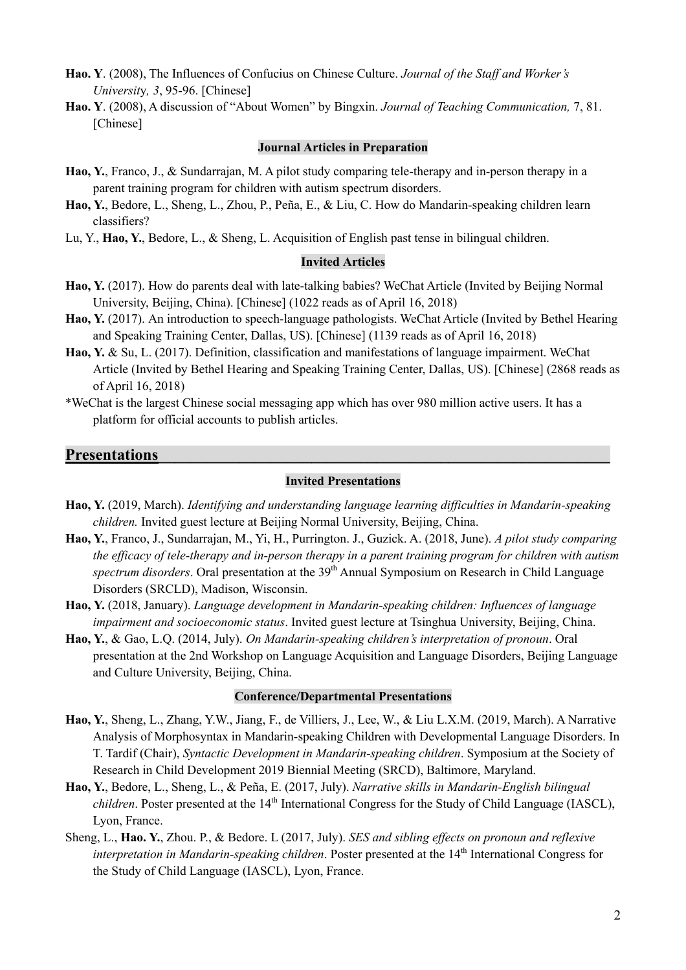- **Hao. Y**. (2008), The Influences of Confucius on Chinese Culture. *Journal of the Staff and Worker's Universit*y*, 3*, 95-96. [Chinese]
- **Hao. Y**. (2008), A discussion of "About Women" by Bingxin. *Journal of Teaching Communication,* 7, 81. [Chinese]

#### **Journal Articles in Preparation**

- **Hao, Y.**, Franco, J., & Sundarrajan, M. A pilot study comparing tele-therapy and in-person therapy in a parent training program for children with autism spectrum disorders.
- **Hao, Y.**, Bedore, L., Sheng, L., Zhou, P., Peña, E., & Liu, C. How do Mandarin-speaking children learn classifiers?
- Lu, Y., **Hao, Y.**, Bedore, L., & Sheng, L. Acquisition of English past tense in bilingual children.

### **Invited Articles**

- **Hao, Y.** (2017). How do parents deal with late-talking babies? WeChat Article (Invited by Beijing Normal University, Beijing, China). [Chinese] (1022 reads as of April 16, 2018)
- **Hao, Y.** (2017). An introduction to speech-language pathologists. WeChat Article (Invited by Bethel Hearing and Speaking Training Center, Dallas, US). [Chinese] (1139 reads as of April 16, 2018)
- **Hao, Y.** & Su, L. (2017). Definition, classification and manifestations of language impairment. WeChat Article (Invited by Bethel Hearing and Speaking Training Center, Dallas, US). [Chinese] (2868 reads as of April 16, 2018)
- \*WeChat is the largest Chinese social messaging app which has over 980 million active users. It has a platform for official accounts to publish articles.

## **Presentations**

### **Invited Presentations**

- **Hao, Y.** (2019, March). *Identifying and understanding language learning difficulties in Mandarin-speaking children.* Invited guest lecture at Beijing Normal University, Beijing, China.
- **Hao, Y.**, Franco, J., Sundarrajan, M., Yi, H., Purrington. J., Guzick. A. (2018, June). *A pilot study comparing the efficacy of tele-therapy and in-person therapy in a parent training program for children with autism*  spectrum disorders. Oral presentation at the 39<sup>th</sup> Annual Symposium on Research in Child Language Disorders (SRCLD), Madison, Wisconsin.
- **Hao, Y.** (2018, January). *Language development in Mandarin-speaking children: Influences of language impairment and socioeconomic status*. Invited guest lecture at Tsinghua University, Beijing, China.
- **Hao, Y.**, & Gao, L.Q. (2014, July). *On Mandarin-speaking children's interpretation of pronoun*. Oral presentation at the 2nd Workshop on Language Acquisition and Language Disorders, Beijing Language and Culture University, Beijing, China.

#### **Conference/Departmental Presentations**

- **Hao, Y.**, Sheng, L., Zhang, Y.W., Jiang, F., de Villiers, J., Lee, W., & Liu L.X.M. (2019, March). A Narrative Analysis of Morphosyntax in Mandarin-speaking Children with Developmental Language Disorders. In T. Tardif (Chair), *Syntactic Development in Mandarin-speaking children*. Symposium at the Society of Research in Child Development 2019 Biennial Meeting (SRCD), Baltimore, Maryland.
- **Hao, Y.**, Bedore, L., Sheng, L., & Peña, E. (2017, July). *Narrative skills in Mandarin-English bilingual children*. Poster presented at the 14<sup>th</sup> International Congress for the Study of Child Language (IASCL), Lyon, France.
- Sheng, L., **Hao. Y.**, Zhou. P., & Bedore. L (2017, July). *SES and sibling effects on pronoun and reflexive interpretation in Mandarin-speaking children*. Poster presented at the 14<sup>th</sup> International Congress for the Study of Child Language (IASCL), Lyon, France.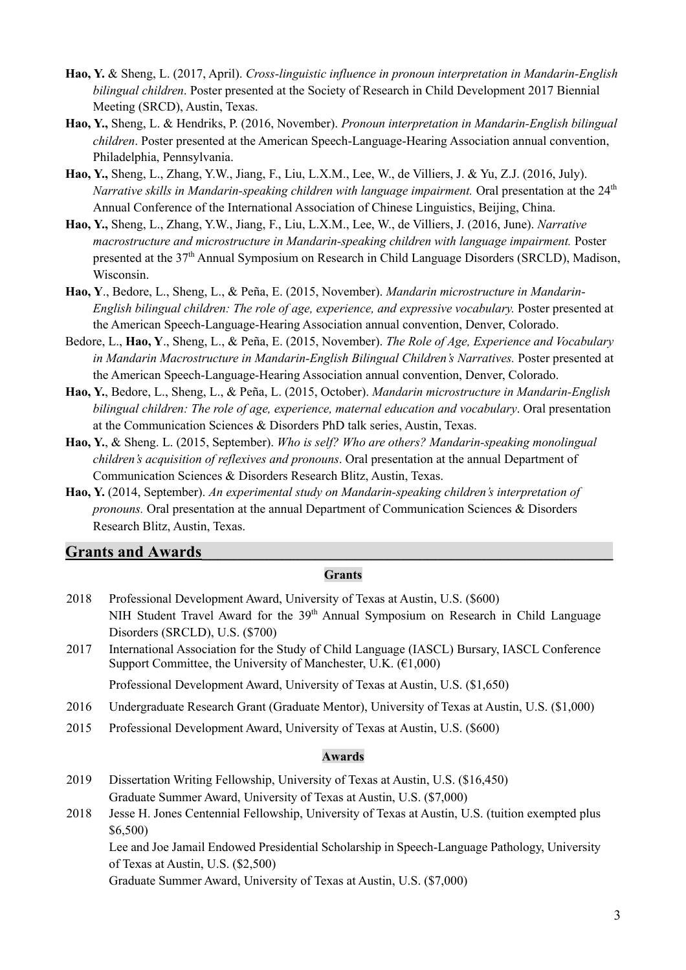- **Hao, Y.** & Sheng, L. (2017, April). *Cross-linguistic influence in pronoun interpretation in Mandarin-English bilingual children*. Poster presented at the Society of Research in Child Development 2017 Biennial Meeting (SRCD), Austin, Texas.
- **Hao, Y.,** Sheng, L. & Hendriks, P. (2016, November). *Pronoun interpretation in Mandarin-English bilingual children*. Poster presented at the American Speech-Language-Hearing Association annual convention, Philadelphia, Pennsylvania.
- **Hao, Y.,** Sheng, L., Zhang, Y.W., Jiang, F., Liu, L.X.M., Lee, W., de Villiers, J. & Yu, Z.J. (2016, July). *Narrative skills in Mandarin-speaking children with language impairment.* Oral presentation at the 24<sup>th</sup> Annual Conference of the International Association of Chinese Linguistics, Beijing, China.
- **Hao, Y.,** Sheng, L., Zhang, Y.W., Jiang, F., Liu, L.X.M., Lee, W., de Villiers, J. (2016, June). *Narrative macrostructure and microstructure in Mandarin-speaking children with language impairment.* Poster presented at the 37<sup>th</sup> Annual Symposium on Research in Child Language Disorders (SRCLD), Madison, Wisconsin.
- **Hao, Y**., Bedore, L., Sheng, L., & Peña, E. (2015, November). *Mandarin microstructure in Mandarin-English bilingual children: The role of age, experience, and expressive vocabulary.* Poster presented at the American Speech-Language-Hearing Association annual convention, Denver, Colorado.
- Bedore, L., **Hao, Y**., Sheng, L., & Peña, E. (2015, November). *The Role of Age, Experience and Vocabulary in Mandarin Macrostructure in Mandarin-English Bilingual Children's Narratives.* Poster presented at the American Speech-Language-Hearing Association annual convention, Denver, Colorado.
- **Hao, Y.**, Bedore, L., Sheng, L., & Peña, L. (2015, October). *Mandarin microstructure in Mandarin-English bilingual children: The role of age, experience, maternal education and vocabulary*. Oral presentation at the Communication Sciences & Disorders PhD talk series, Austin, Texas.
- **Hao, Y.**, & Sheng. L. (2015, September). *Who is self? Who are others? Mandarin-speaking monolingual children's acquisition of reflexives and pronouns*. Oral presentation at the annual Department of Communication Sciences & Disorders Research Blitz, Austin, Texas.
- **Hao, Y.** (2014, September). *An experimental study on Mandarin-speaking children's interpretation of pronouns.* Oral presentation at the annual Department of Communication Sciences & Disorders Research Blitz, Austin, Texas.

## Grants and Awards

### **Grants**

- 2018 Professional Development Award, University of Texas at Austin, U.S. (\$600) NIH Student Travel Award for the 39<sup>th</sup> Annual Symposium on Research in Child Language Disorders (SRCLD), U.S. (\$700)
- 2017 International Association for the Study of Child Language (IASCL) Bursary, IASCL Conference Support Committee, the University of Manchester, U.K.  $(E1,000)$

Professional Development Award, University of Texas at Austin, U.S. (\$1,650)

- 2016 Undergraduate Research Grant (Graduate Mentor), University of Texas at Austin, U.S. (\$1,000)
- 2015 Professional Development Award, University of Texas at Austin, U.S. (\$600)

### **Awards**

- 2019 Dissertation Writing Fellowship, University of Texas at Austin, U.S. (\$16,450) Graduate Summer Award, University of Texas at Austin, U.S. (\$7,000)
- 2018 Jesse H. Jones Centennial Fellowship, University of Texas at Austin, U.S. (tuition exempted plus \$6,500)

Lee and Joe Jamail Endowed Presidential Scholarship in Speech-Language Pathology, University of Texas at Austin, U.S. (\$2,500)

Graduate Summer Award, University of Texas at Austin, U.S. (\$7,000)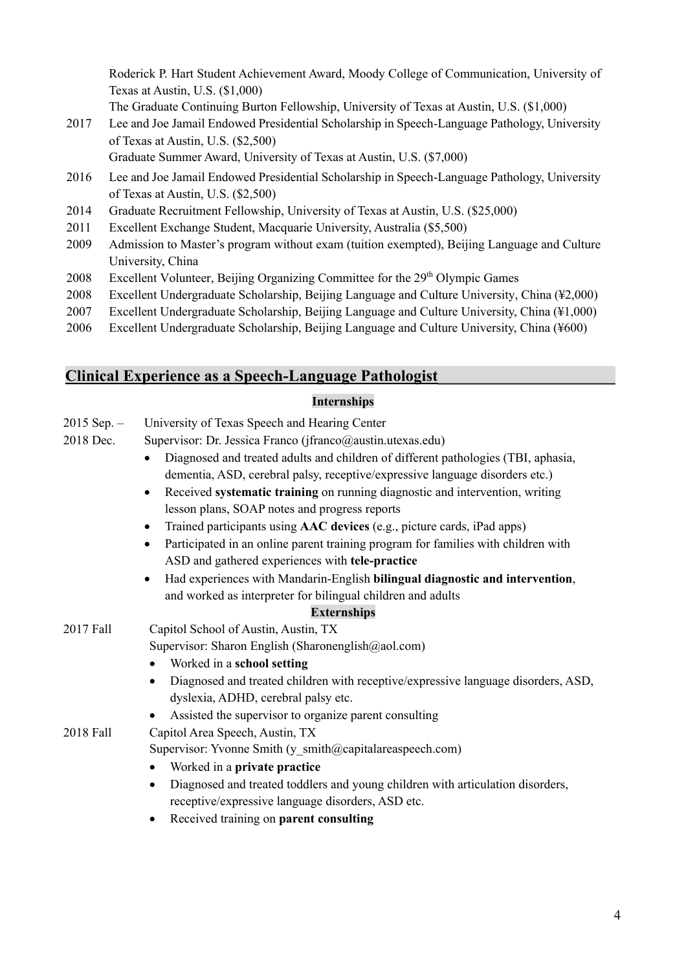Roderick P. Hart Student Achievement Award, Moody College of Communication, University of Texas at Austin, U.S. (\$1,000)

The Graduate Continuing Burton Fellowship, University of Texas at Austin, U.S. (\$1,000)

2017 Lee and Joe Jamail Endowed Presidential Scholarship in Speech-Language Pathology, University of Texas at Austin, U.S. (\$2,500)

Graduate Summer Award, University of Texas at Austin, U.S. (\$7,000)

- 2016 Lee and Joe Jamail Endowed Presidential Scholarship in Speech-Language Pathology, University of Texas at Austin, U.S. (\$2,500)
- 2014 Graduate Recruitment Fellowship, University of Texas at Austin, U.S. (\$25,000)
- 2011 Excellent Exchange Student, Macquarie University, Australia (\$5,500)
- 2009 Admission to Master's program without exam (tuition exempted), Beijing Language and Culture University, China
- 2008 Excellent Volunteer, Beijing Organizing Committee for the  $29<sup>th</sup>$  Olympic Games
- 2008 Excellent Undergraduate Scholarship, Beijing Language and Culture University, China (¥2,000)
- 2007 Excellent Undergraduate Scholarship, Beijing Language and Culture University, China (¥1,000)
- 2006 Excellent Undergraduate Scholarship, Beijing Language and Culture University, China (¥600)

## **Clinical Experience as a Speech-Language Pathologist\_\_\_\_\_\_\_\_\_\_\_\_\_\_\_\_\_\_\_\_\_\_**

## **Internships**

- $2015$  Sep.  $-$ University of Texas Speech and Hearing Center
- 2018 Dec. Supervisor: Dr. Jessica Franco (jfranco@austin.utexas.edu)
	- Diagnosed and treated adults and children of different pathologies (TBI, aphasia, dementia, ASD, cerebral palsy, receptive/expressive language disorders etc.)
	- Received **systematic training** on running diagnostic and intervention, writing lesson plans, SOAP notes and progress reports
	- Trained participants using **AAC devices** (e.g., picture cards, iPad apps)
	- Participated in an online parent training program for families with children with ASD and gathered experiences with **tele-practice**
	- Had experiences with Mandarin-English **bilingual diagnostic and intervention**, and worked as interpreter for bilingual children and adults

## **Externships**

2017 Fall Capitol School of Austin, Austin, TX

Supervisor: Sharon English (Sharonenglish@aol.com)

- Worked in a **school setting**
- Diagnosed and treated children with receptive/expressive language disorders, ASD, dyslexia, ADHD, cerebral palsy etc.
- Assisted the supervisor to organize parent consulting

2018 Fall Capitol Area Speech, Austin, TX

Supervisor: Yvonne Smith (y\_smith@capitalareaspeech.com)

- Worked in a **private practice**
- Diagnosed and treated toddlers and young children with articulation disorders, receptive/expressive language disorders, ASD etc.
- Received training on **parent consulting**